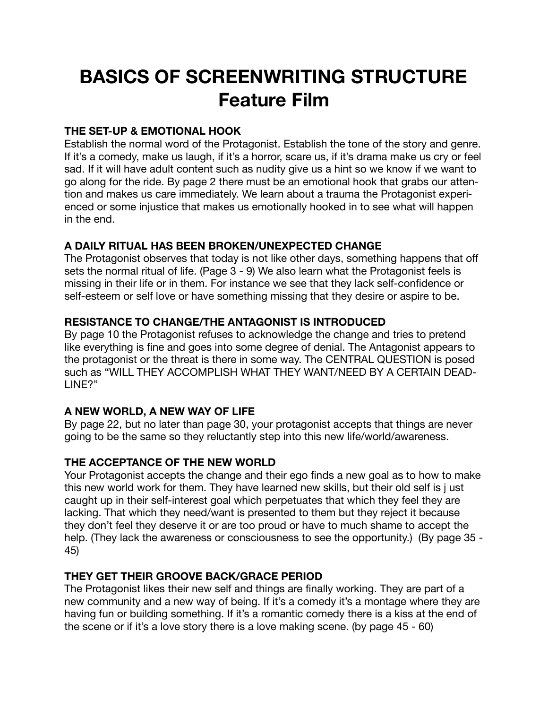# **BASICS OF SCREENWRITING STRUCTURE Feature Film**

#### **THE SET-UP & EMOTIONAL HOOK**

Establish the normal word of the Protagonist. Establish the tone of the story and genre. If it's a comedy, make us laugh, if it's a horror, scare us, if it's drama make us cry or feel sad. If it will have adult content such as nudity give us a hint so we know if we want to go along for the ride. By page 2 there must be an emotional hook that grabs our attention and makes us care immediately. We learn about a trauma the Protagonist experienced or some injustice that makes us emotionally hooked in to see what will happen in the end.

## **A DAILY RITUAL HAS BEEN BROKEN/UNEXPECTED CHANGE**

The Protagonist observes that today is not like other days, something happens that off sets the normal ritual of life. (Page 3 - 9) We also learn what the Protagonist feels is missing in their life or in them. For instance we see that they lack self-confidence or self-esteem or self love or have something missing that they desire or aspire to be.

## **RESISTANCE TO CHANGE/THE ANTAGONIST IS INTRODUCED**

By page 10 the Protagonist refuses to acknowledge the change and tries to pretend like everything is fine and goes into some degree of denial. The Antagonist appears to the protagonist or the threat is there in some way. The CENTRAL QUESTION is posed such as "WILL THEY ACCOMPLISH WHAT THEY WANT/NEED BY A CERTAIN DEAD-LINE?"

## **A NEW WORLD, A NEW WAY OF LIFE**

By page 22, but no later than page 30, your protagonist accepts that things are never going to be the same so they reluctantly step into this new life/world/awareness.

## **THE ACCEPTANCE OF THE NEW WORLD**

Your Protagonist accepts the change and their ego finds a new goal as to how to make this new world work for them. They have learned new skills, but their old self is j ust caught up in their self-interest goal which perpetuates that which they feel they are lacking. That which they need/want is presented to them but they reject it because they don't feel they deserve it or are too proud or have to much shame to accept the help. (They lack the awareness or consciousness to see the opportunity.) (By page 35 - 45)

## **THEY GET THEIR GROOVE BACK/GRACE PERIOD**

The Protagonist likes their new self and things are finally working. They are part of a new community and a new way of being. If it's a comedy it's a montage where they are having fun or building something. If it's a romantic comedy there is a kiss at the end of the scene or if it's a love story there is a love making scene. (by page 45 - 60)